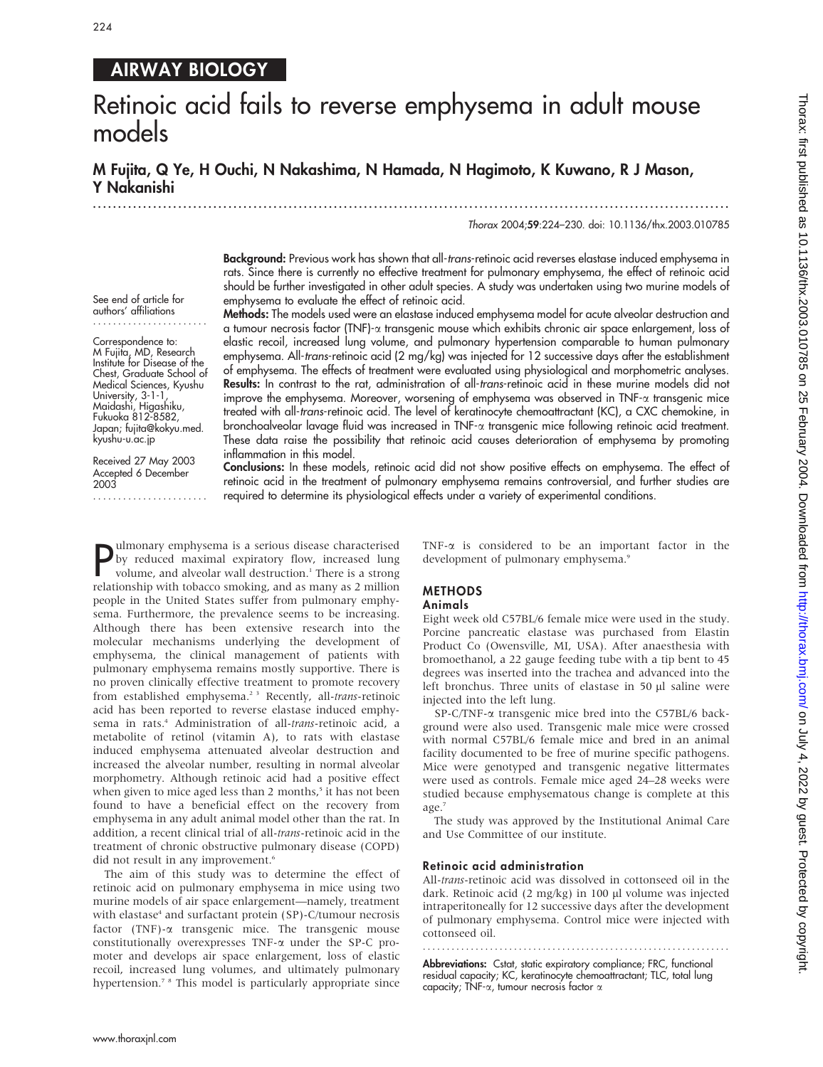# $224$

# AIRWAY BIOLOGY

# Retinoic acid fails to reverse emphysema in adult mouse models

M Fujita, Q Ye, H Ouchi, N Nakashima, N Hamada, N Hagimoto, K Kuwano, R J Mason, Y Nakanishi

.............................................................................................................................. .

Thorax 2004;59:224–230. doi: 10.1136/thx.2003.010785

Background: Previous work has shown that all-trans-retinoic acid reverses elastase induced emphysema in rats. Since there is currently no effective treatment for pulmonary emphysema, the effect of retinoic acid should be further investigated in other adult species. A study was undertaken using two murine models of emphysema to evaluate the effect of retinoic acid.

See end of article for authors' affiliations .......................

Correspondence to: M Fujita, MD, Research Institute for Disease of the Chest, Graduate School of Medical Sciences, Kyushu University, 3-1-1, Maidashi, Higashiku, Fukuoka 812-8582, Japan; fujita@kokyu.med. kyushu-u.ac.jp

Received 27 May 2003 Accepted 6 December 2003 .......................

Methods: The models used were an elastase induced emphysema model for acute alveolar destruction and a tumour necrosis factor (TNF)- $\alpha$  transgenic mouse which exhibits chronic air space enlargement, loss of elastic recoil, increased lung volume, and pulmonary hypertension comparable to human pulmonary emphysema. All-trans-retinoic acid (2 mg/kg) was injected for 12 successive days after the establishment of emphysema. The effects of treatment were evaluated using physiological and morphometric analyses. Results: In contrast to the rat, administration of all-trans-retinoic acid in these murine models did not improve the emphysema. Moreover, worsening of emphysema was observed in  $INF-\alpha$  transgenic mice treated with all-trans-retinoic acid. The level of keratinocyte chemoattractant (KC), a CXC chemokine, in bronchoalveolar lavage fluid was increased in TNF-a transgenic mice following retinoic acid treatment. These data raise the possibility that retinoic acid causes deterioration of emphysema by promoting inflammation in this model.

Conclusions: In these models, retinoic acid did not show positive effects on emphysema. The effect of retinoic acid in the treatment of pulmonary emphysema remains controversial, and further studies are required to determine its physiological effects under a variety of experimental conditions.

**P** by reduced maximal expiratory flow, increased lung<br>volume, and alveolar wall destruction.<sup>1</sup> There is a strong<br>volume, and alveolar wall destruction.<sup>1</sup> There is a strong ulmonary emphysema is a serious disease characterised volume, and alveolar wall destruction.<sup>1</sup> There is a strong relationship with tobacco smoking, and as many as 2 million people in the United States suffer from pulmonary emphysema. Furthermore, the prevalence seems to be increasing. Although there has been extensive research into the molecular mechanisms underlying the development of emphysema, the clinical management of patients with pulmonary emphysema remains mostly supportive. There is no proven clinically effective treatment to promote recovery from established emphysema.<sup>2 3</sup> Recently, all-trans-retinoic acid has been reported to reverse elastase induced emphysema in rats.<sup>4</sup> Administration of all-trans-retinoic acid, a metabolite of retinol (vitamin A), to rats with elastase induced emphysema attenuated alveolar destruction and increased the alveolar number, resulting in normal alveolar morphometry. Although retinoic acid had a positive effect when given to mice aged less than 2 months,<sup>5</sup> it has not been found to have a beneficial effect on the recovery from emphysema in any adult animal model other than the rat. In addition, a recent clinical trial of all-trans-retinoic acid in the treatment of chronic obstructive pulmonary disease (COPD) did not result in any improvement.<sup>6</sup>

The aim of this study was to determine the effect of retinoic acid on pulmonary emphysema in mice using two murine models of air space enlargement—namely, treatment with elastase<sup>4</sup> and surfactant protein (SP)-C/tumour necrosis factor (TNF)-a transgenic mice. The transgenic mouse constitutionally overexpresses TNF-a under the SP-C promoter and develops air space enlargement, loss of elastic recoil, increased lung volumes, and ultimately pulmonary hypertension.<sup>7</sup> <sup>8</sup> This model is particularly appropriate since TNF-a is considered to be an important factor in the development of pulmonary emphysema.<sup>9</sup>

# METHODS

# Animals

Eight week old C57BL/6 female mice were used in the study. Porcine pancreatic elastase was purchased from Elastin Product Co (Owensville, MI, USA). After anaesthesia with bromoethanol, a 22 gauge feeding tube with a tip bent to 45 degrees was inserted into the trachea and advanced into the left bronchus. Three units of elastase in 50 µl saline were injected into the left lung.

SP-C/TNF-a transgenic mice bred into the C57BL/6 background were also used. Transgenic male mice were crossed with normal C57BL/6 female mice and bred in an animal facility documented to be free of murine specific pathogens. Mice were genotyped and transgenic negative littermates were used as controls. Female mice aged 24–28 weeks were studied because emphysematous change is complete at this age.7

The study was approved by the Institutional Animal Care and Use Committee of our institute.

## Retinoic acid administration

All-trans-retinoic acid was dissolved in cottonseed oil in the dark. Retinoic acid (2 mg/kg) in 100 µl volume was injected intraperitoneally for 12 successive days after the development of pulmonary emphysema. Control mice were injected with cottonseed oil.

............................................................... .

Abbreviations: Cstat, static expiratory compliance; FRC, functional residual capacity; KC, keratinocyte chemoattractant; TLC, total lung capacity; TNF- $\alpha$ , tumour necrosis factor  $\alpha$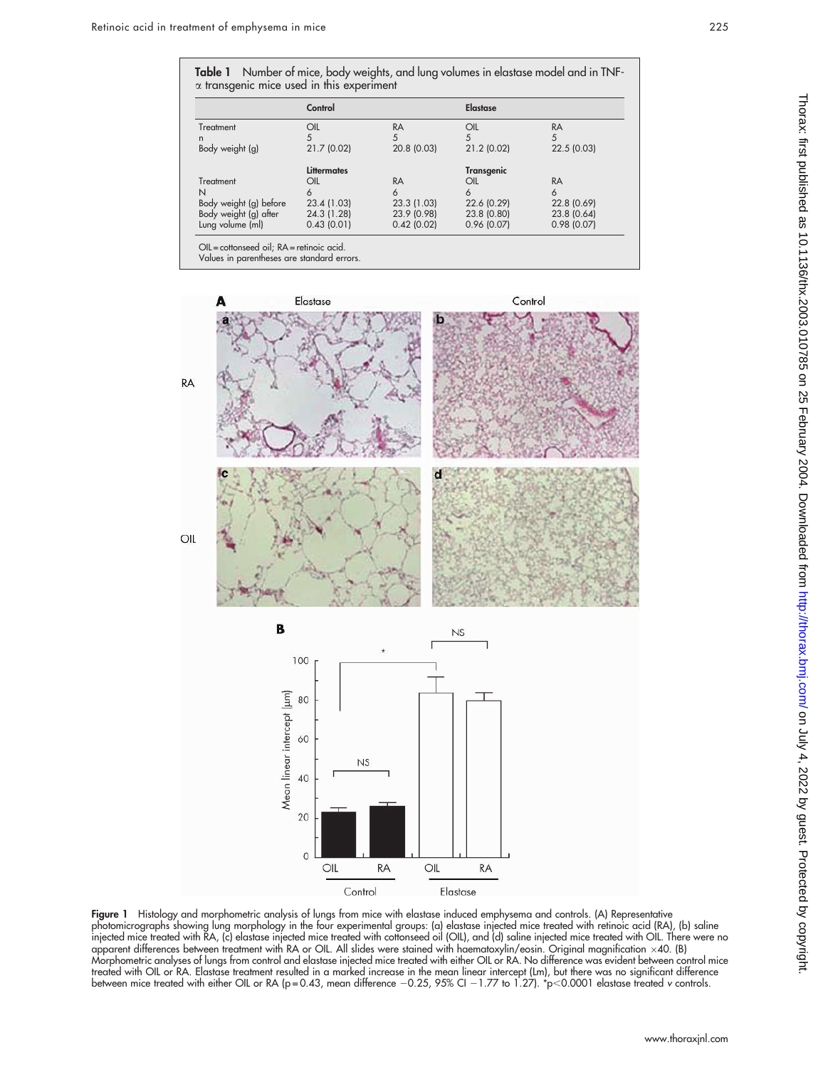|                        | Control     |             | <b>Elastase</b>   |             |
|------------------------|-------------|-------------|-------------------|-------------|
| Treatment              | OIL         | <b>RA</b>   | OIL               | <b>RA</b>   |
| n                      | 5           | 5           |                   | 5           |
| Body weight (g)        | 21.7(0.02)  | 20.8 (0.03) | 21.2(0.02)        | 22.5(0.03)  |
|                        | Littermates |             | <b>Transgenic</b> |             |
| Treatment              | OIL         | <b>RA</b>   | OIL               | <b>RA</b>   |
| N                      | 6           | 6           | 6                 | 6           |
| Body weight (g) before | 23.4 (1.03) | 23.3 (1.03) | 22.6 (0.29)       | 22.8 (0.69) |
| Body weight (g) after  | 24.3 (1.28) | 23.9 (0.98) | 23.8 (0.80)       | 23.8 (0.64) |
| Lung volume (ml)       | 0.43(0.01)  | 0.42(0.02)  | 0.96(0.07)        | 0.98(0.07)  |

Values in parentheses are standard errors.



Figure 1 Histology and morphometric analysis of lungs from mice with elastase induced emphysema and controls. (A) Representative photomicrographs showing lung morphology in the four experimental groups: (a) elastase injected mice treated with retinoic acid (RA), (b) saline injected mice treated with RA, (c) elastase injected mice treated with cottonseed oil (OIL), and (d) saline injected mice treated with OIL. There were no apparent differences between treatment with RA or OIL. All slides were stained with haematoxylin/eosin. Original magnification ×40. (B) Morphometric analyses of lungs from control and elastase injected mice treated with either OIL or RA. No difference was evident between control mice treated with OIL or RA. Elastase treatment resulted in a marked increase in the mean linear intercept (Lm), but there was no significant difference between mice treated with either OIL or RA (p=0.43, mean difference –0.25, 95% CI –1.77 to 1.27). \*p<0.0001 elastase treated v controls.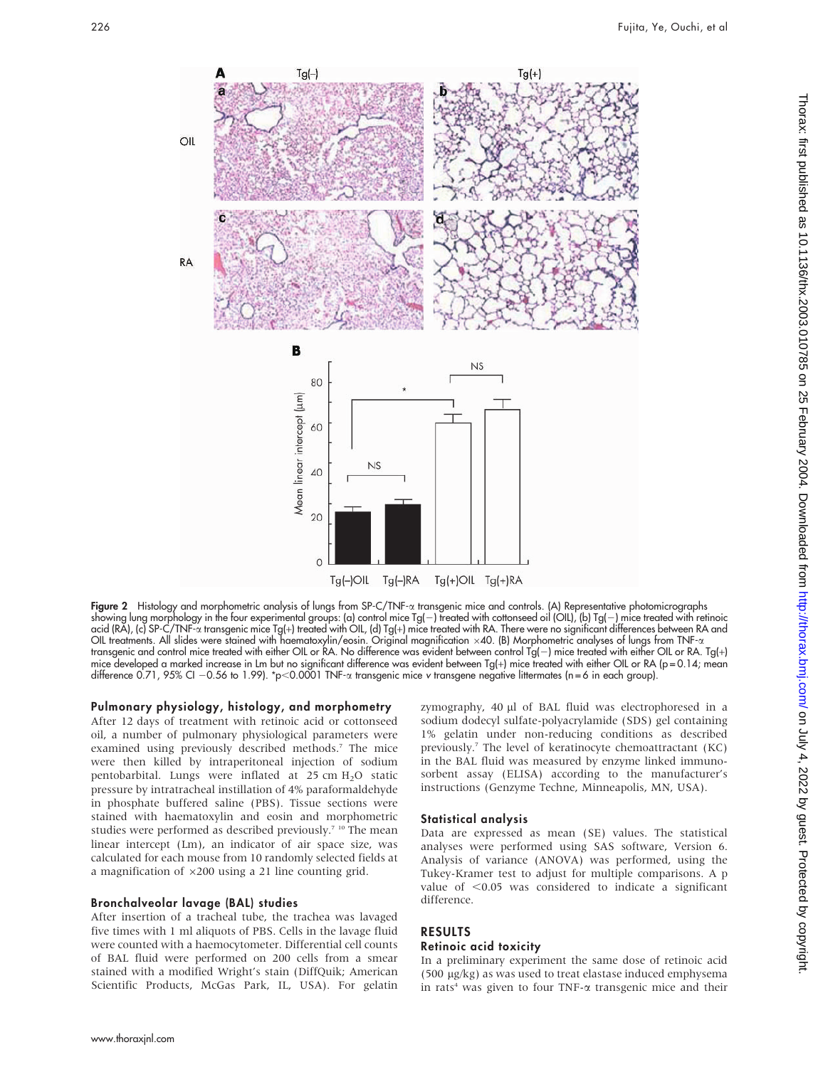

Figure 2 Histology and morphometric analysis of lungs from SP-C/TNF- $\alpha$  transgenic mice and controls. (A) Representative photomicrographs showing lung morphology in the four experimental groups: (a) control mice Tg(-) treated with cottonseed oil (OIL), (b) Tg(-) mice treated with retinoic acid (RA), (c) SP-C/TNF-a transgenic mice Tg(+) treated with OIL, (d) Tg(+) mice treated with RA. There were no significant differences between RA and OIL treatments. All slides were stained with haematoxylin/eosin. Original magnification 640. (B) Morphometric analyses of lungs from TNF-a transgenic and control mice treated with either OIL or RA. No ditterence was evident between control Tg(–) mice treated with either OIL or RA. Tg(+) mice developed a marked increase in Lm but no significant difference was evident between Tg(+) mice treated with either OIL or RA (p = 0.14; mean difference 0.71, 95% CI -0.56 to 1.99). \*p<0.0001 TNF- $\alpha$  transgenic mice v transgene negative littermates (n = 6 in each group).

## Pulmonary physiology, histology, and morphometry

After 12 days of treatment with retinoic acid or cottonseed oil, a number of pulmonary physiological parameters were examined using previously described methods.<sup>7</sup> The mice were then killed by intraperitoneal injection of sodium pentobarbital. Lungs were inflated at 25 cm H<sub>2</sub>O static pressure by intratracheal instillation of 4% paraformaldehyde in phosphate buffered saline (PBS). Tissue sections were stained with haematoxylin and eosin and morphometric studies were performed as described previously.<sup>7 10</sup> The mean linear intercept (Lm), an indicator of air space size, was calculated for each mouse from 10 randomly selected fields at a magnification of  $\times$ 200 using a 21 line counting grid.

# Bronchalveolar lavage (BAL) studies

After insertion of a tracheal tube, the trachea was lavaged five times with 1 ml aliquots of PBS. Cells in the lavage fluid were counted with a haemocytometer. Differential cell counts of BAL fluid were performed on 200 cells from a smear stained with a modified Wright's stain (DiffQuik; American Scientific Products, McGas Park, IL, USA). For gelatin

zymography, 40 µl of BAL fluid was electrophoresed in a sodium dodecyl sulfate-polyacrylamide (SDS) gel containing 1% gelatin under non-reducing conditions as described previously.7 The level of keratinocyte chemoattractant (KC) in the BAL fluid was measured by enzyme linked immunosorbent assay (ELISA) according to the manufacturer's instructions (Genzyme Techne, Minneapolis, MN, USA).

# Statistical analysis

Data are expressed as mean (SE) values. The statistical analyses were performed using SAS software, Version 6. Analysis of variance (ANOVA) was performed, using the Tukey-Kramer test to adjust for multiple comparisons. A p value of <0.05 was considered to indicate a significant difference.

# RESULTS Retinoic acid toxicity

In a preliminary experiment the same dose of retinoic acid  $(500 \mu g/kg)$  as was used to treat elastase induced emphysema in rats<sup>4</sup> was given to four TNF- $\alpha$  transgenic mice and their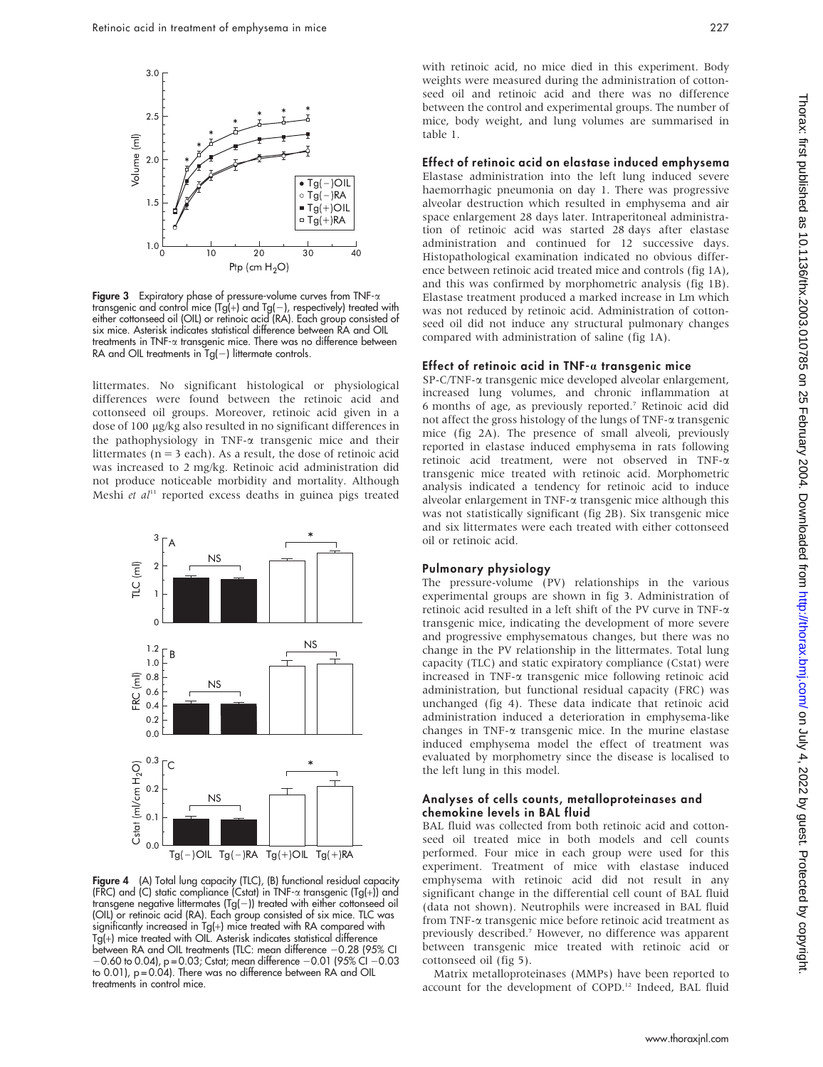

Figure 3 Expiratory phase of pressure-volume curves from TNF- $\alpha$ transgenic and control mice (Tg(+) and Tg(−), respectively) treated with either cottonseed oil (OIL) or retinoic acid (RA). Each group consisted of six mice. Asterisk indicates statistical difference between RA and OIL treatments in TNF-a transgenic mice. There was no difference between RA and OIL treatments in Tg(-) littermate controls.

littermates. No significant histological or physiological differences were found between the retinoic acid and cottonseed oil groups. Moreover, retinoic acid given in a dose of 100 mg/kg also resulted in no significant differences in the pathophysiology in TNF-a transgenic mice and their littermates ( $n = 3$  each). As a result, the dose of retinoic acid was increased to 2 mg/kg. Retinoic acid administration did not produce noticeable morbidity and mortality. Although Meshi et  $al<sup>11</sup>$  reported excess deaths in guinea pigs treated



Figure 4 (A) Total lung capacity (TLC), (B) functional residual capacity (FRC) and (C) static compliance (Cstat) in TNF- $\alpha$  transgenic (Tg(+)) and transgene negative littermates (Tg(-)) treated with either cottonseed oil (OIL) or retinoic acid (RA). Each group consisted of six mice. TLC was significantly increased in Tg(+) mice treated with RA compared with Tg(+) mice treated with OIL. Asterisk indicates statistical difference between RA and OIL treatments (TLC: mean difference -0.28 (95% CI  $-0.60$  to 0.04), p = 0.03; Cstat; mean difference  $-0.01$  (95% CI  $-0.03$ to  $0.01$ ),  $p = 0.04$ ). There was no difference between RA and OIL treatments in control mice.

with retinoic acid, no mice died in this experiment. Body weights were measured during the administration of cottonseed oil and retinoic acid and there was no difference between the control and experimental groups. The number of mice, body weight, and lung volumes are summarised in table 1.

#### Effect of retinoic acid on elastase induced emphysema

Elastase administration into the left lung induced severe haemorrhagic pneumonia on day 1. There was progressive alveolar destruction which resulted in emphysema and air space enlargement 28 days later. Intraperitoneal administration of retinoic acid was started 28 days after elastase administration and continued for 12 successive days. Histopathological examination indicated no obvious difference between retinoic acid treated mice and controls (fig 1A), and this was confirmed by morphometric analysis (fig 1B). Elastase treatment produced a marked increase in Lm which was not reduced by retinoic acid. Administration of cottonseed oil did not induce any structural pulmonary changes compared with administration of saline (fig 1A).

## Effect of retinoic acid in TNF- $\alpha$  transgenic mice

SP-C/TNF-a transgenic mice developed alveolar enlargement, increased lung volumes, and chronic inflammation at 6 months of age, as previously reported.7 Retinoic acid did not affect the gross histology of the lungs of TNF- $\alpha$  transgenic mice (fig 2A). The presence of small alveoli, previously reported in elastase induced emphysema in rats following retinoic acid treatment, were not observed in TNF-a transgenic mice treated with retinoic acid. Morphometric analysis indicated a tendency for retinoic acid to induce alveolar enlargement in TNF-a transgenic mice although this was not statistically significant (fig 2B). Six transgenic mice and six littermates were each treated with either cottonseed oil or retinoic acid.

#### Pulmonary physiology

The pressure-volume (PV) relationships in the various experimental groups are shown in fig 3. Administration of retinoic acid resulted in a left shift of the PV curve in TNF-a transgenic mice, indicating the development of more severe and progressive emphysematous changes, but there was no change in the PV relationship in the littermates. Total lung capacity (TLC) and static expiratory compliance (Cstat) were increased in TNF-a transgenic mice following retinoic acid administration, but functional residual capacity (FRC) was unchanged (fig 4). These data indicate that retinoic acid administration induced a deterioration in emphysema-like changes in TNF-a transgenic mice. In the murine elastase induced emphysema model the effect of treatment was evaluated by morphometry since the disease is localised to the left lung in this model.

#### Analyses of cells counts, metalloproteinases and chemokine levels in BAL fluid

BAL fluid was collected from both retinoic acid and cottonseed oil treated mice in both models and cell counts performed. Four mice in each group were used for this experiment. Treatment of mice with elastase induced emphysema with retinoic acid did not result in any significant change in the differential cell count of BAL fluid (data not shown). Neutrophils were increased in BAL fluid from TNF-a transgenic mice before retinoic acid treatment as previously described.7 However, no difference was apparent between transgenic mice treated with retinoic acid or cottonseed oil (fig 5).

Matrix metalloproteinases (MMPs) have been reported to account for the development of COPD.<sup>12</sup> Indeed, BAL fluid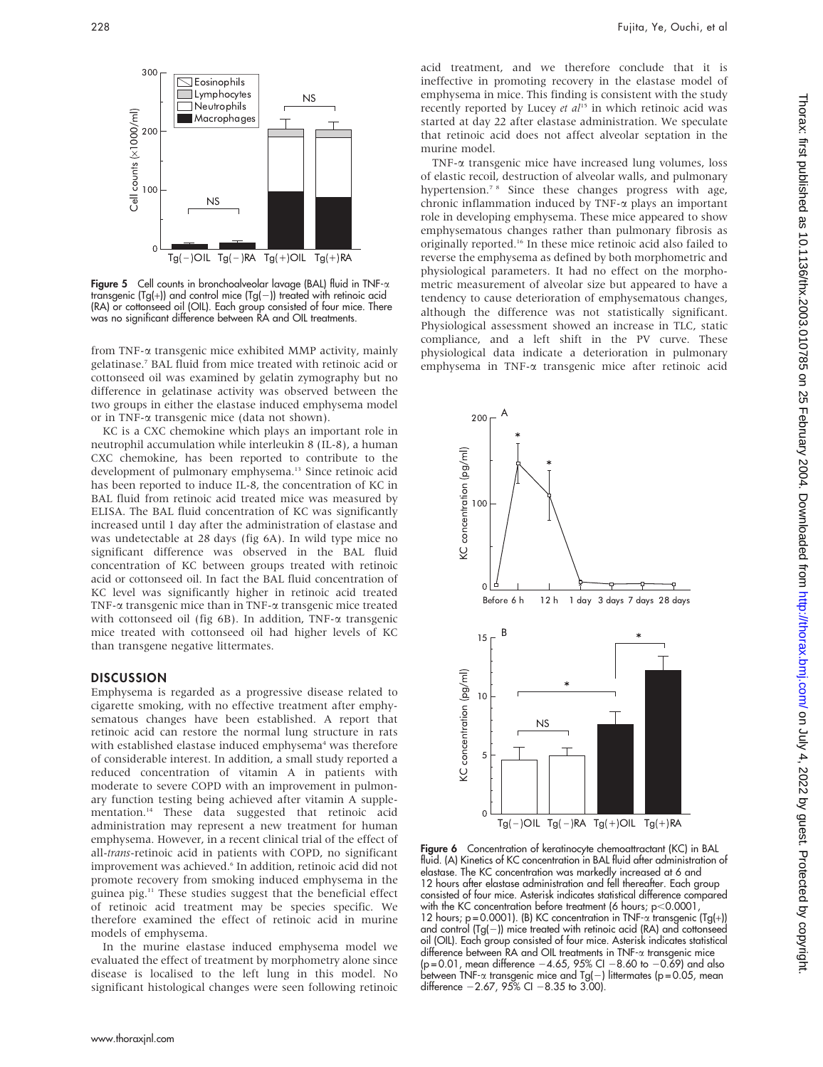

**Figure 5** Cell counts in bronchoalveolar lavage (BAL) fluid in TNF- $\alpha$ transgenic (Tg(+)) and control mice (Tg(-)) treated with retinoic acid (RA) or cottonseed oil (OIL). Each group consisted of four mice. There was no significant difference between RA and OIL treatments.

from TNF-a transgenic mice exhibited MMP activity, mainly gelatinase.7 BAL fluid from mice treated with retinoic acid or cottonseed oil was examined by gelatin zymography but no difference in gelatinase activity was observed between the two groups in either the elastase induced emphysema model or in TNF-a transgenic mice (data not shown).

KC is a CXC chemokine which plays an important role in neutrophil accumulation while interleukin 8 (IL-8), a human CXC chemokine, has been reported to contribute to the development of pulmonary emphysema.<sup>13</sup> Since retinoic acid has been reported to induce IL-8, the concentration of KC in BAL fluid from retinoic acid treated mice was measured by ELISA. The BAL fluid concentration of KC was significantly increased until 1 day after the administration of elastase and was undetectable at 28 days (fig 6A). In wild type mice no significant difference was observed in the BAL fluid concentration of KC between groups treated with retinoic acid or cottonseed oil. In fact the BAL fluid concentration of KC level was significantly higher in retinoic acid treated TNF-a transgenic mice than in TNF-a transgenic mice treated with cottonseed oil (fig 6B). In addition, TNF-a transgenic mice treated with cottonseed oil had higher levels of KC than transgene negative littermates.

## **DISCUSSION**

Emphysema is regarded as a progressive disease related to cigarette smoking, with no effective treatment after emphysematous changes have been established. A report that retinoic acid can restore the normal lung structure in rats with established elastase induced emphysema<sup>4</sup> was therefore of considerable interest. In addition, a small study reported a reduced concentration of vitamin A in patients with moderate to severe COPD with an improvement in pulmonary function testing being achieved after vitamin A supplementation.14 These data suggested that retinoic acid administration may represent a new treatment for human emphysema. However, in a recent clinical trial of the effect of all-trans-retinoic acid in patients with COPD, no significant improvement was achieved.<sup>6</sup> In addition, retinoic acid did not promote recovery from smoking induced emphysema in the guinea pig.11 These studies suggest that the beneficial effect of retinoic acid treatment may be species specific. We therefore examined the effect of retinoic acid in murine models of emphysema.

In the murine elastase induced emphysema model we evaluated the effect of treatment by morphometry alone since disease is localised to the left lung in this model. No significant histological changes were seen following retinoic

acid treatment, and we therefore conclude that it is ineffective in promoting recovery in the elastase model of emphysema in mice. This finding is consistent with the study recently reported by Lucey et  $al^{15}$  in which retinoic acid was started at day 22 after elastase administration. We speculate that retinoic acid does not affect alveolar septation in the murine model.

TNF-a transgenic mice have increased lung volumes, loss of elastic recoil, destruction of alveolar walls, and pulmonary hypertension.<sup>7</sup><sup>8</sup> Since these changes progress with age, chronic inflammation induced by TNF- $\alpha$  plays an important role in developing emphysema. These mice appeared to show emphysematous changes rather than pulmonary fibrosis as originally reported.16 In these mice retinoic acid also failed to reverse the emphysema as defined by both morphometric and physiological parameters. It had no effect on the morphometric measurement of alveolar size but appeared to have a tendency to cause deterioration of emphysematous changes, although the difference was not statistically significant. Physiological assessment showed an increase in TLC, static compliance, and a left shift in the PV curve. These physiological data indicate a deterioration in pulmonary emphysema in TNF-a transgenic mice after retinoic acid



Figure 6 Concentration of keratinocyte chemoattractant (KC) in BAL fluid. (A) Kinetics of KC concentration in BAL fluid after administration of elastase. The KC concentration was markedly increased at 6 and 12 hours after elastase administration and fell thereafter. Each group consisted of four mice. Asterisk indicates statistical difference compared with the KC concentration before treatment (6 hours;  $p<0.0001$ , 12 hours; p = 0.0001). (B) KC concentration in TNF- $\alpha$  transgenic (Tg(+)) and control (Tg( $-$ )) mice treated with retinoic acid (RA) and cottonseed oil (OIL). Each group consisted of four mice. Asterisk indicates statistical difference between RA and OIL treatments in TNF-a transgenic mice  $(p = 0.01$ , mean difference  $-4.65$ , 95% CI  $-8.60$  to  $-0.69$ ) and also between TNF-a transgenic mice and Tg(2) littermates (p = 0.05, mean difference  $-2.67$ , 95% CI  $-8.35$  to 3.00).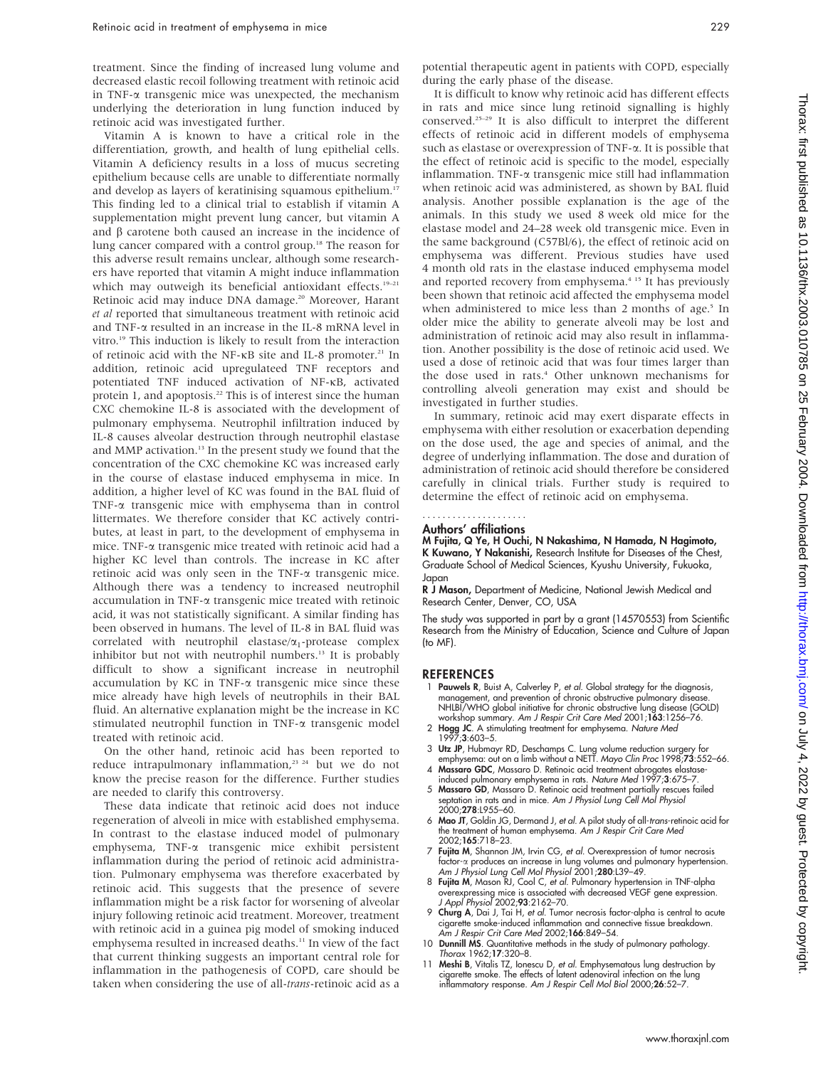treatment. Since the finding of increased lung volume and decreased elastic recoil following treatment with retinoic acid in TNF- $\alpha$  transgenic mice was unexpected, the mechanism underlying the deterioration in lung function induced by retinoic acid was investigated further.

Vitamin A is known to have a critical role in the differentiation, growth, and health of lung epithelial cells. Vitamin A deficiency results in a loss of mucus secreting epithelium because cells are unable to differentiate normally and develop as layers of keratinising squamous epithelium.<sup>17</sup> This finding led to a clinical trial to establish if vitamin A supplementation might prevent lung cancer, but vitamin A and b carotene both caused an increase in the incidence of lung cancer compared with a control group.<sup>18</sup> The reason for this adverse result remains unclear, although some researchers have reported that vitamin A might induce inflammation which may outweigh its beneficial antioxidant effects.<sup>19-21</sup> Retinoic acid may induce DNA damage.<sup>20</sup> Moreover, Harant et al reported that simultaneous treatment with retinoic acid and TNF- $\alpha$  resulted in an increase in the IL-8 mRNA level in vitro.19 This induction is likely to result from the interaction of retinoic acid with the NF- $\kappa$ B site and IL-8 promoter.<sup>21</sup> In addition, retinoic acid upregulateed TNF receptors and potentiated TNF induced activation of NF-kB, activated protein 1, and apoptosis.<sup>22</sup> This is of interest since the human CXC chemokine IL-8 is associated with the development of pulmonary emphysema. Neutrophil infiltration induced by IL-8 causes alveolar destruction through neutrophil elastase and MMP activation.<sup>13</sup> In the present study we found that the concentration of the CXC chemokine KC was increased early in the course of elastase induced emphysema in mice. In addition, a higher level of KC was found in the BAL fluid of TNF-a transgenic mice with emphysema than in control littermates. We therefore consider that KC actively contributes, at least in part, to the development of emphysema in mice. TNF-a transgenic mice treated with retinoic acid had a higher KC level than controls. The increase in KC after retinoic acid was only seen in the TNF-a transgenic mice. Although there was a tendency to increased neutrophil accumulation in TNF-a transgenic mice treated with retinoic acid, it was not statistically significant. A similar finding has been observed in humans. The level of IL-8 in BAL fluid was correlated with neutrophil elastase/ $\alpha_1$ -protease complex inhibitor but not with neutrophil numbers.<sup>13</sup> It is probably difficult to show a significant increase in neutrophil accumulation by KC in TNF- $\alpha$  transgenic mice since these mice already have high levels of neutrophils in their BAL fluid. An alternative explanation might be the increase in KC stimulated neutrophil function in TNF-a transgenic model treated with retinoic acid.

On the other hand, retinoic acid has been reported to reduce intrapulmonary inflammation,<sup>23</sup> <sup>24</sup> but we do not know the precise reason for the difference. Further studies are needed to clarify this controversy.

These data indicate that retinoic acid does not induce regeneration of alveoli in mice with established emphysema. In contrast to the elastase induced model of pulmonary emphysema, TNF-a transgenic mice exhibit persistent inflammation during the period of retinoic acid administration. Pulmonary emphysema was therefore exacerbated by retinoic acid. This suggests that the presence of severe inflammation might be a risk factor for worsening of alveolar injury following retinoic acid treatment. Moreover, treatment with retinoic acid in a guinea pig model of smoking induced emphysema resulted in increased deaths.<sup>11</sup> In view of the fact that current thinking suggests an important central role for inflammation in the pathogenesis of COPD, care should be taken when considering the use of all-trans-retinoic acid as a

potential therapeutic agent in patients with COPD, especially during the early phase of the disease.

It is difficult to know why retinoic acid has different effects in rats and mice since lung retinoid signalling is highly conserved.25–29 It is also difficult to interpret the different effects of retinoic acid in different models of emphysema such as elastase or overexpression of TNF-a. It is possible that the effect of retinoic acid is specific to the model, especially inflammation. TNF-a transgenic mice still had inflammation when retinoic acid was administered, as shown by BAL fluid analysis. Another possible explanation is the age of the animals. In this study we used 8 week old mice for the elastase model and 24–28 week old transgenic mice. Even in the same background (C57Bl/6), the effect of retinoic acid on emphysema was different. Previous studies have used 4 month old rats in the elastase induced emphysema model and reported recovery from emphysema.<sup>4 15</sup> It has previously been shown that retinoic acid affected the emphysema model when administered to mice less than 2 months of age.<sup>5</sup> In older mice the ability to generate alveoli may be lost and administration of retinoic acid may also result in inflammation. Another possibility is the dose of retinoic acid used. We used a dose of retinoic acid that was four times larger than the dose used in rats.<sup>4</sup> Other unknown mechanisms for controlling alveoli generation may exist and should be investigated in further studies.

In summary, retinoic acid may exert disparate effects in emphysema with either resolution or exacerbation depending on the dose used, the age and species of animal, and the degree of underlying inflammation. The dose and duration of administration of retinoic acid should therefore be considered carefully in clinical trials. Further study is required to determine the effect of retinoic acid on emphysema.

#### Authors' affiliations .....................

M Fujita, Q Ye, H Ouchi, N Nakashima, N Hamada, N Hagimoto, K Kuwano, Y Nakanishi, Research Institute for Diseases of the Chest, Graduate School of Medical Sciences, Kyushu University, Fukuoka, Japan

R J Mason, Department of Medicine, National Jewish Medical and Research Center, Denver, CO, USA

The study was supported in part by a grant (14570553) from Scientific Research from the Ministry of Education, Science and Culture of Japan (to MF).

#### **REFERENCES**

- 1 Pauwels R, Buist A, Calverley P, et al. Global strategy for the diagnosis, management, and prevention of chronic obstructive pulmonary disease. NHLBI/WHO global initiative for chronic obstructive lung disease (GOLD) workshop summary. Am J Respir Crit Care Med 2001;163:1256–76.
- 2 **Hogg JC**. A stimulating treatment for emphysema. Nature Med<br>1997;**3**:603–5.
- 3 Utz JP, Hubmayr RD, Deschamps C. Lung volume reduction surgery for emphysema: out on a limb without a NETT. Mayo Clin Proc 1998;73:552–66.
- 4 Massaro GDC, Massaro D. Retinoic acid treatment abrogates elastase-induced pulmonary emphysema in rats. Nature Med 1997;3:675–7.
- 5 Massaro GD, Massaro D. Retinoic acid treatment partially rescues failed septation in rats and in mice. Am J Physiol Lung Cell Mol Physiol 2000;278:L955–60.
- 6 Mao JT, Goldin JG, Dermand J, et al. A pilot study of all-trans-retinoic acid for the treatment of human emphysema. Am J Respir Crit Care Med 2002;165:718–23.
- 7 Fujita M, Shannon JM, Irvin CG, et al. Overexpression of tumor necrosis factor-a produces an increase in lung volumes and pulmonary hypertension. Am J Physiol Lung Cell Mol Physiol 2001;280:L39–49.
- 8 Fujita M, Mason RJ, Cool C, et al. Pulmonary hypertension in TNF-alpha overexpressing mice is associated with decreased VEGF gene expression. J Appl<sup>'</sup> Physiol<sup>'</sup> 2002;**93**:2162–70.
- 9 Churg A, Dai J, Tai H, et al. Tumor necrosis factor-alpha is central to acute cigarette smoke-induced inflammation and connective tissue breakdown. Am J Respir Crit Care Med 2002;166:849–54.
- 10 Dunnill MS. Quantitative methods in the study of pulmonary pathology. Thorax 1962;17:320–8.
- 11 Meshi B, Vitalis TZ, Ionescu D, et al. Emphysematous lung destruction by cigarette smoke. The effects of latent adenoviral infection on the lung inflammatory response. Am J Respir Cell Mol Biol 2000;26:52–7.